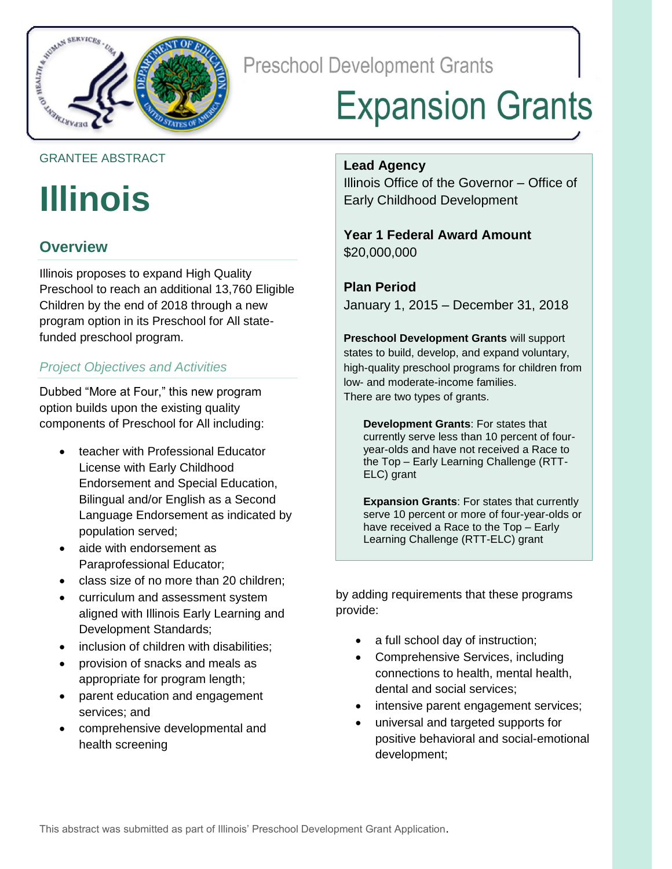

**Preschool Development Grants** 

# **Expansion Grants**

### GRANTEE ABSTRACT

# **Illinois**

# **Overview**

Illinois proposes to expand High Quality Preschool to reach an additional 13,760 Eligible Children by the end of 2018 through a new program option in its Preschool for All statefunded preschool program.

## *Project Objectives and Activities*

Dubbed "More at Four," this new program option builds upon the existing quality components of Preschool for All including:

- teacher with Professional Educator License with Early Childhood Endorsement and Special Education, Bilingual and/or English as a Second Language Endorsement as indicated by population served;
- aide with endorsement as Paraprofessional Educator;
- class size of no more than 20 children;
- curriculum and assessment system aligned with Illinois Early Learning and Development Standards;
- inclusion of children with disabilities;
- provision of snacks and meals as appropriate for program length;
- parent education and engagement services; and
- comprehensive developmental and health screening

#### **Lead Agency**

Illinois Office of the Governor – Office of Early Childhood Development

### **Year 1 Federal Award Amount** \$20,000,000

**Plan Period** January 1, 2015 – December 31, 2018

**Preschool Development Grants** will support states to build, develop, and expand voluntary, high-quality preschool programs for children from low- and moderate-income families. There are two types of grants.

**Development Grants**: For states that currently serve less than 10 percent of fouryear-olds and have not received a Race to the Top – Early Learning Challenge (RTT-ELC) grant

**Expansion Grants**: For states that currently serve 10 percent or more of four-year-olds or have received a Race to the Top – Early Learning Challenge (RTT-ELC) grant

by adding requirements that these programs provide:

- a full school day of instruction;
- Comprehensive Services, including connections to health, mental health, dental and social services;
- intensive parent engagement services;
- universal and targeted supports for positive behavioral and social-emotional development;